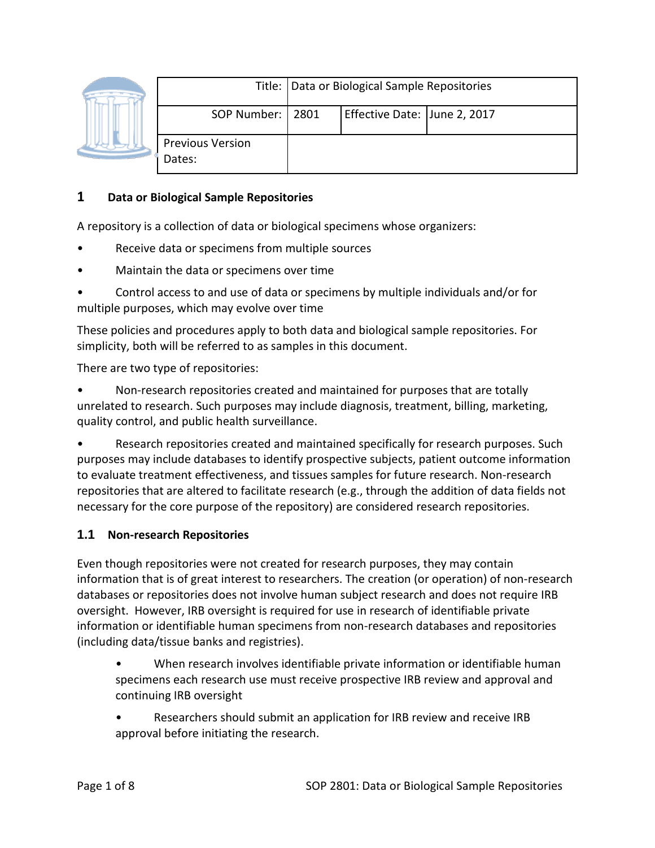|  |                                   | Title: Data or Biological Sample Repositories |                              |  |
|--|-----------------------------------|-----------------------------------------------|------------------------------|--|
|  | SOP Number:   2801                |                                               | Effective Date: June 2, 2017 |  |
|  | <b>Previous Version</b><br>Dates: |                                               |                              |  |

#### **1 Data or Biological Sample Repositories**

A repository is a collection of data or biological specimens whose organizers:

- Receive data or specimens from multiple sources
- Maintain the data or specimens over time
- Control access to and use of data or specimens by multiple individuals and/or for multiple purposes, which may evolve over time

These policies and procedures apply to both data and biological sample repositories. For simplicity, both will be referred to as samples in this document.

There are two type of repositories:

• Non-research repositories created and maintained for purposes that are totally unrelated to research. Such purposes may include diagnosis, treatment, billing, marketing, quality control, and public health surveillance.

• Research repositories created and maintained specifically for research purposes. Such purposes may include databases to identify prospective subjects, patient outcome information to evaluate treatment effectiveness, and tissues samples for future research. Non-research repositories that are altered to facilitate research (e.g., through the addition of data fields not necessary for the core purpose of the repository) are considered research repositories.

#### **1.1 Non-research Repositories**

Even though repositories were not created for research purposes, they may contain information that is of great interest to researchers. The creation (or operation) of non-research databases or repositories does not involve human subject research and does not require IRB oversight. However, IRB oversight is required for use in research of identifiable private information or identifiable human specimens from non-research databases and repositories (including data/tissue banks and registries).

• When research involves identifiable private information or identifiable human specimens each research use must receive prospective IRB review and approval and continuing IRB oversight

• Researchers should submit an application for IRB review and receive IRB approval before initiating the research.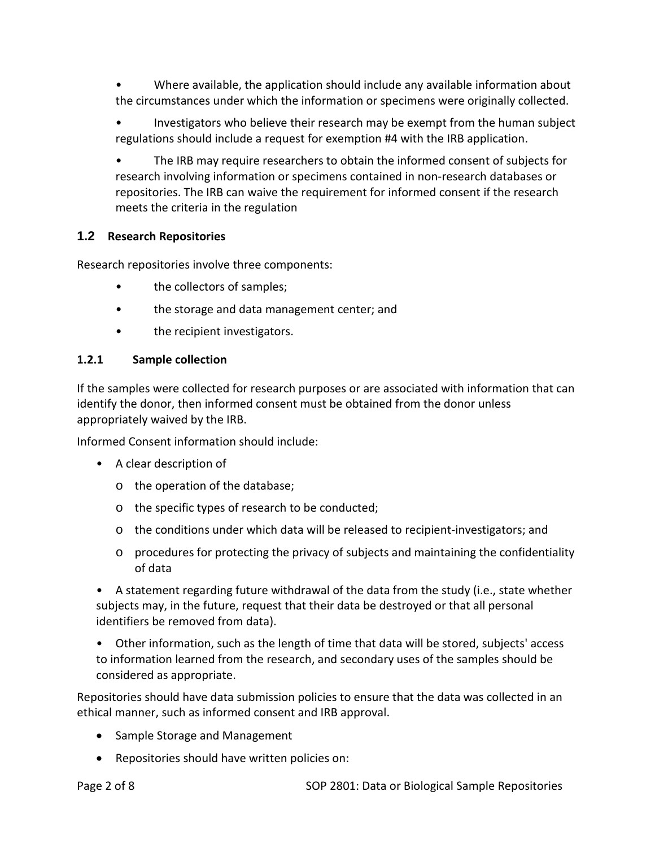• Where available, the application should include any available information about the circumstances under which the information or specimens were originally collected.

• Investigators who believe their research may be exempt from the human subject regulations should include a request for exemption #4 with the IRB application.

• The IRB may require researchers to obtain the informed consent of subjects for research involving information or specimens contained in non-research databases or repositories. The IRB can waive the requirement for informed consent if the research meets the criteria in the regulation

# **1.2 Research Repositories**

Research repositories involve three components:

- the collectors of samples;
- the storage and data management center; and
- the recipient investigators.

#### **1.2.1 Sample collection**

If the samples were collected for research purposes or are associated with information that can identify the donor, then informed consent must be obtained from the donor unless appropriately waived by the IRB.

Informed Consent information should include:

- A clear description of
	- o the operation of the database;
	- o the specific types of research to be conducted;
	- o the conditions under which data will be released to recipient-investigators; and
	- o procedures for protecting the privacy of subjects and maintaining the confidentiality of data

• A statement regarding future withdrawal of the data from the study (i.e., state whether subjects may, in the future, request that their data be destroyed or that all personal identifiers be removed from data).

• Other information, such as the length of time that data will be stored, subjects' access to information learned from the research, and secondary uses of the samples should be considered as appropriate.

Repositories should have data submission policies to ensure that the data was collected in an ethical manner, such as informed consent and IRB approval.

- Sample Storage and Management
- Repositories should have written policies on: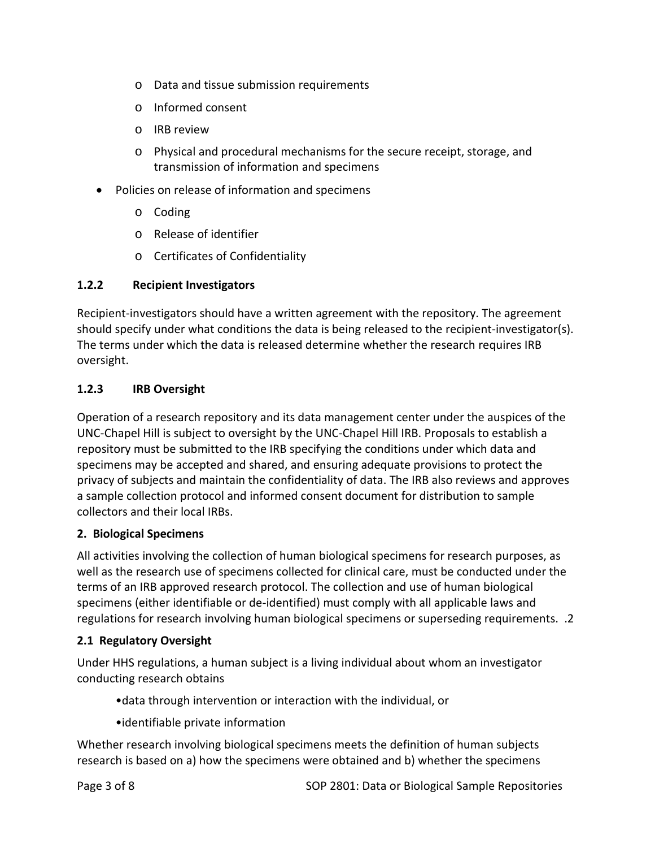- o Data and tissue submission requirements
- o Informed consent
- o IRB review
- o Physical and procedural mechanisms for the secure receipt, storage, and transmission of information and specimens
- Policies on release of information and specimens
	- o Coding
	- o Release of identifier
	- o Certificates of Confidentiality

# **1.2.2 Recipient Investigators**

Recipient-investigators should have a written agreement with the repository. The agreement should specify under what conditions the data is being released to the recipient-investigator(s). The terms under which the data is released determine whether the research requires IRB oversight.

## **1.2.3 IRB Oversight**

Operation of a research repository and its data management center under the auspices of the UNC-Chapel Hill is subject to oversight by the UNC-Chapel Hill IRB. Proposals to establish a repository must be submitted to the IRB specifying the conditions under which data and specimens may be accepted and shared, and ensuring adequate provisions to protect the privacy of subjects and maintain the confidentiality of data. The IRB also reviews and approves a sample collection protocol and informed consent document for distribution to sample collectors and their local IRBs.

#### **2. Biological Specimens**

All activities involving the collection of human biological specimens for research purposes, as well as the research use of specimens collected for clinical care, must be conducted under the terms of an IRB approved research protocol. The collection and use of human biological specimens (either identifiable or de-identified) must comply with all applicable laws and regulations for research involving human biological specimens or superseding requirements. .2

# **2.1 Regulatory Oversight**

Under HHS regulations, a human subject is a living individual about whom an investigator conducting research obtains

- •data through intervention or interaction with the individual, or
- •identifiable private information

Whether research involving biological specimens meets the definition of human subjects research is based on a) how the specimens were obtained and b) whether the specimens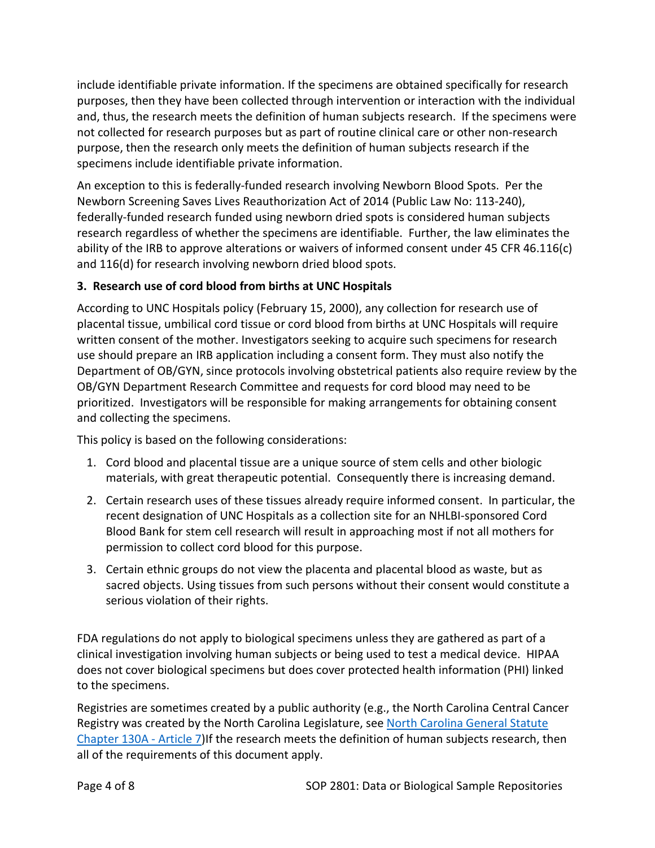include identifiable private information. If the specimens are obtained specifically for research purposes, then they have been collected through intervention or interaction with the individual and, thus, the research meets the definition of human subjects research. If the specimens were not collected for research purposes but as part of routine clinical care or other non-research purpose, then the research only meets the definition of human subjects research if the specimens include identifiable private information.

An exception to this is federally-funded research involving Newborn Blood Spots. Per the Newborn Screening Saves Lives Reauthorization Act of 2014 (Public Law No: 113-240), federally-funded research funded using newborn dried spots is considered human subjects research regardless of whether the specimens are identifiable. Further, the law eliminates the ability of the IRB to approve alterations or waivers of informed consent under 45 CFR 46.116(c) and 116(d) for research involving newborn dried blood spots.

## **3. Research use of cord blood from births at UNC Hospitals**

According to UNC Hospitals policy (February 15, 2000), any collection for research use of placental tissue, umbilical cord tissue or cord blood from births at UNC Hospitals will require written consent of the mother. Investigators seeking to acquire such specimens for research use should prepare an IRB application including a consent form. They must also notify the Department of OB/GYN, since protocols involving obstetrical patients also require review by the OB/GYN Department Research Committee and requests for cord blood may need to be prioritized. Investigators will be responsible for making arrangements for obtaining consent and collecting the specimens.

This policy is based on the following considerations:

- 1. Cord blood and placental tissue are a unique source of stem cells and other biologic materials, with great therapeutic potential. Consequently there is increasing demand.
- 2. Certain research uses of these tissues already require informed consent. In particular, the recent designation of UNC Hospitals as a collection site for an NHLBI-sponsored Cord Blood Bank for stem cell research will result in approaching most if not all mothers for permission to collect cord blood for this purpose.
- 3. Certain ethnic groups do not view the placenta and placental blood as waste, but as sacred objects. Using tissues from such persons without their consent would constitute a serious violation of their rights.

FDA regulations do not apply to biological specimens unless they are gathered as part of a clinical investigation involving human subjects or being used to test a medical device. HIPAA does not cover biological specimens but does cover protected health information (PHI) linked to the specimens.

Registries are sometimes created by a public authority (e.g., the North Carolina Central Cancer Registry was created by the North Carolina Legislature, see [North Carolina General Statute](http://www.schs.state.nc.us/SCHS/CCR/Article_7.html)  [Chapter 130A -](http://www.schs.state.nc.us/SCHS/CCR/Article_7.html) Article 7)If the research meets the definition of human subjects research, then all of the requirements of this document apply.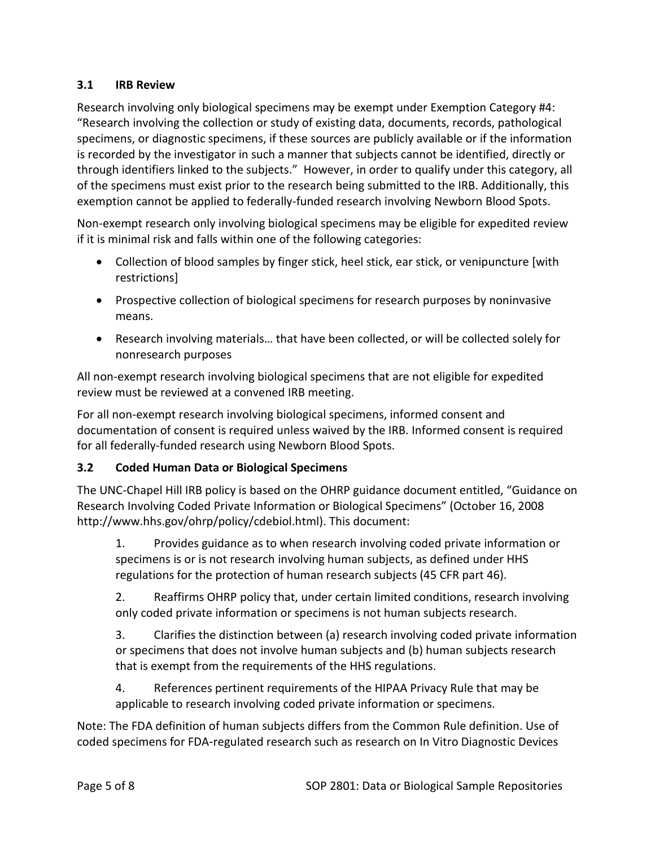## **3.1 IRB Review**

Research involving only biological specimens may be exempt under Exemption Category #4: "Research involving the collection or study of existing data, documents, records, pathological specimens, or diagnostic specimens, if these sources are publicly available or if the information is recorded by the investigator in such a manner that subjects cannot be identified, directly or through identifiers linked to the subjects." However, in order to qualify under this category, all of the specimens must exist prior to the research being submitted to the IRB. Additionally, this exemption cannot be applied to federally-funded research involving Newborn Blood Spots.

Non-exempt research only involving biological specimens may be eligible for expedited review if it is minimal risk and falls within one of the following categories:

- Collection of blood samples by finger stick, heel stick, ear stick, or venipuncture [with restrictions]
- Prospective collection of biological specimens for research purposes by noninvasive means.
- Research involving materials… that have been collected, or will be collected solely for nonresearch purposes

All non-exempt research involving biological specimens that are not eligible for expedited review must be reviewed at a convened IRB meeting.

For all non-exempt research involving biological specimens, informed consent and documentation of consent is required unless waived by the IRB. Informed consent is required for all federally-funded research using Newborn Blood Spots.

#### **3.2 Coded Human Data or Biological Specimens**

The UNC-Chapel Hill IRB policy is based on the OHRP guidance document entitled, "Guidance on Research Involving Coded Private Information or Biological Specimens" (October 16, 2008 http://www.hhs.gov/ohrp/policy/cdebiol.html). This document:

1. Provides guidance as to when research involving coded private information or specimens is or is not research involving human subjects, as defined under HHS regulations for the protection of human research subjects (45 CFR part 46).

2. Reaffirms OHRP policy that, under certain limited conditions, research involving only coded private information or specimens is not human subjects research.

3. Clarifies the distinction between (a) research involving coded private information or specimens that does not involve human subjects and (b) human subjects research that is exempt from the requirements of the HHS regulations.

4. References pertinent requirements of the HIPAA Privacy Rule that may be applicable to research involving coded private information or specimens.

Note: The FDA definition of human subjects differs from the Common Rule definition. Use of coded specimens for FDA‐regulated research such as research on In Vitro Diagnostic Devices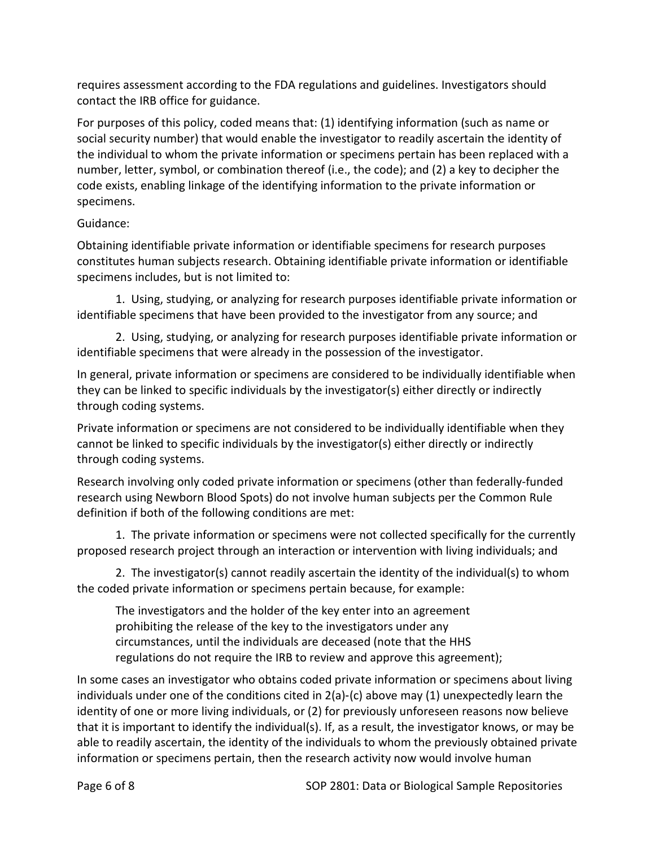requires assessment according to the FDA regulations and guidelines. Investigators should contact the IRB office for guidance.

For purposes of this policy, coded means that: (1) identifying information (such as name or social security number) that would enable the investigator to readily ascertain the identity of the individual to whom the private information or specimens pertain has been replaced with a number, letter, symbol, or combination thereof (i.e., the code); and (2) a key to decipher the code exists, enabling linkage of the identifying information to the private information or specimens.

#### Guidance:

Obtaining identifiable private information or identifiable specimens for research purposes constitutes human subjects research. Obtaining identifiable private information or identifiable specimens includes, but is not limited to:

1. Using, studying, or analyzing for research purposes identifiable private information or identifiable specimens that have been provided to the investigator from any source; and

2. Using, studying, or analyzing for research purposes identifiable private information or identifiable specimens that were already in the possession of the investigator.

In general, private information or specimens are considered to be individually identifiable when they can be linked to specific individuals by the investigator(s) either directly or indirectly through coding systems.

Private information or specimens are not considered to be individually identifiable when they cannot be linked to specific individuals by the investigator(s) either directly or indirectly through coding systems.

Research involving only coded private information or specimens (other than federally-funded research using Newborn Blood Spots) do not involve human subjects per the Common Rule definition if both of the following conditions are met:

1. The private information or specimens were not collected specifically for the currently proposed research project through an interaction or intervention with living individuals; and

2. The investigator(s) cannot readily ascertain the identity of the individual(s) to whom the coded private information or specimens pertain because, for example:

The investigators and the holder of the key enter into an agreement prohibiting the release of the key to the investigators under any circumstances, until the individuals are deceased (note that the HHS regulations do not require the IRB to review and approve this agreement);

In some cases an investigator who obtains coded private information or specimens about living individuals under one of the conditions cited in 2(a)‐(c) above may (1) unexpectedly learn the identity of one or more living individuals, or (2) for previously unforeseen reasons now believe that it is important to identify the individual(s). If, as a result, the investigator knows, or may be able to readily ascertain, the identity of the individuals to whom the previously obtained private information or specimens pertain, then the research activity now would involve human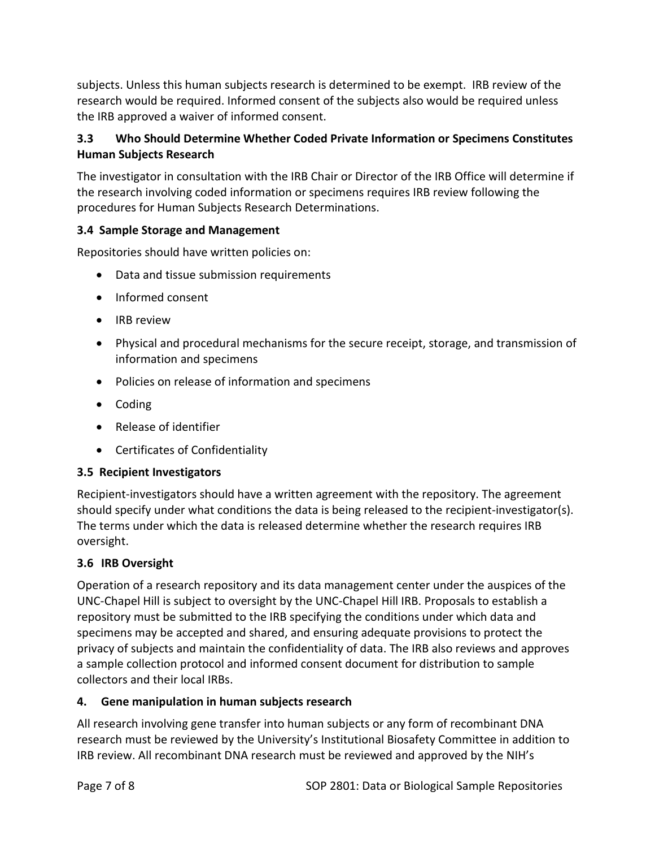subjects. Unless this human subjects research is determined to be exempt. IRB review of the research would be required. Informed consent of the subjects also would be required unless the IRB approved a waiver of informed consent.

# **3.3 Who Should Determine Whether Coded Private Information or Specimens Constitutes Human Subjects Research**

The investigator in consultation with the IRB Chair or Director of the IRB Office will determine if the research involving coded information or specimens requires IRB review following the procedures for Human Subjects Research Determinations.

## **3.4 Sample Storage and Management**

Repositories should have written policies on:

- Data and tissue submission requirements
- Informed consent
- IRB review
- Physical and procedural mechanisms for the secure receipt, storage, and transmission of information and specimens
- Policies on release of information and specimens
- Coding
- Release of identifier
- Certificates of Confidentiality

#### **3.5 Recipient Investigators**

Recipient-investigators should have a written agreement with the repository. The agreement should specify under what conditions the data is being released to the recipient-investigator(s). The terms under which the data is released determine whether the research requires IRB oversight.

#### **3.6 IRB Oversight**

Operation of a research repository and its data management center under the auspices of the UNC-Chapel Hill is subject to oversight by the UNC-Chapel Hill IRB. Proposals to establish a repository must be submitted to the IRB specifying the conditions under which data and specimens may be accepted and shared, and ensuring adequate provisions to protect the privacy of subjects and maintain the confidentiality of data. The IRB also reviews and approves a sample collection protocol and informed consent document for distribution to sample collectors and their local IRBs.

#### **4. Gene manipulation in human subjects research**

All research involving gene transfer into human subjects or any form of recombinant DNA research must be reviewed by the University's Institutional Biosafety Committee in addition to IRB review. All recombinant DNA research must be reviewed and approved by the NIH's